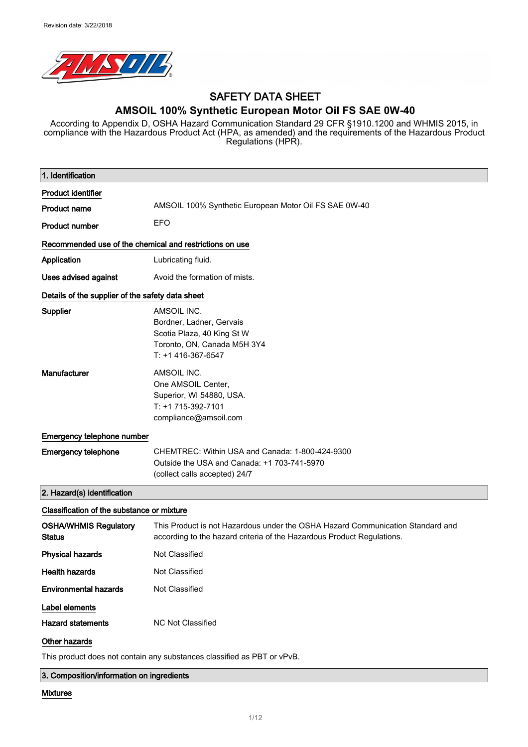

# SAFETY DATA SHEET

### **AMSOIL 100% Synthetic European Motor Oil FS SAE 0W-40**

According to Appendix D, OSHA Hazard Communication Standard 29 CFR §1910.1200 and WHMIS 2015, in compliance with the Hazardous Product Act (HPA, as amended) and the requirements of the Hazardous Product Regulations (HPR).

| 1. Identification                                       |                                                                                                                                                          |  |
|---------------------------------------------------------|----------------------------------------------------------------------------------------------------------------------------------------------------------|--|
| <b>Product identifier</b>                               |                                                                                                                                                          |  |
| <b>Product name</b>                                     | AMSOIL 100% Synthetic European Motor Oil FS SAE 0W-40                                                                                                    |  |
| <b>Product number</b>                                   | <b>EFO</b>                                                                                                                                               |  |
| Recommended use of the chemical and restrictions on use |                                                                                                                                                          |  |
| Application                                             | Lubricating fluid.                                                                                                                                       |  |
| <b>Uses advised against</b>                             | Avoid the formation of mists.                                                                                                                            |  |
| Details of the supplier of the safety data sheet        |                                                                                                                                                          |  |
| Supplier                                                | AMSOIL INC.<br>Bordner, Ladner, Gervais<br>Scotia Plaza, 40 King St W<br>Toronto, ON, Canada M5H 3Y4<br>$T: +1416-367-6547$                              |  |
| Manufacturer                                            | AMSOIL INC.<br>One AMSOIL Center,<br>Superior, WI 54880, USA.<br>T: +1 715-392-7101<br>compliance@amsoil.com                                             |  |
| Emergency telephone number                              |                                                                                                                                                          |  |
| <b>Emergency telephone</b>                              | CHEMTREC: Within USA and Canada: 1-800-424-9300<br>Outside the USA and Canada: +1 703-741-5970<br>(collect calls accepted) 24/7                          |  |
| 2. Hazard(s) identification                             |                                                                                                                                                          |  |
| Classification of the substance or mixture              |                                                                                                                                                          |  |
| <b>OSHA/WHMIS Regulatory</b><br><b>Status</b>           | This Product is not Hazardous under the OSHA Hazard Communication Standard and<br>according to the hazard criteria of the Hazardous Product Regulations. |  |
| <b>Physical hazards</b>                                 | Not Classified                                                                                                                                           |  |
| <b>Health hazards</b>                                   | Not Classified                                                                                                                                           |  |
| <b>Environmental hazards</b>                            | Not Classified                                                                                                                                           |  |
| Label elements                                          |                                                                                                                                                          |  |
| <b>Hazard statements</b>                                | <b>NC Not Classified</b>                                                                                                                                 |  |
| Other hazards                                           |                                                                                                                                                          |  |
|                                                         | This product does not contain any substances classified as PBT or vPvB.                                                                                  |  |

3. Composition/information on ingredients

### Mixtures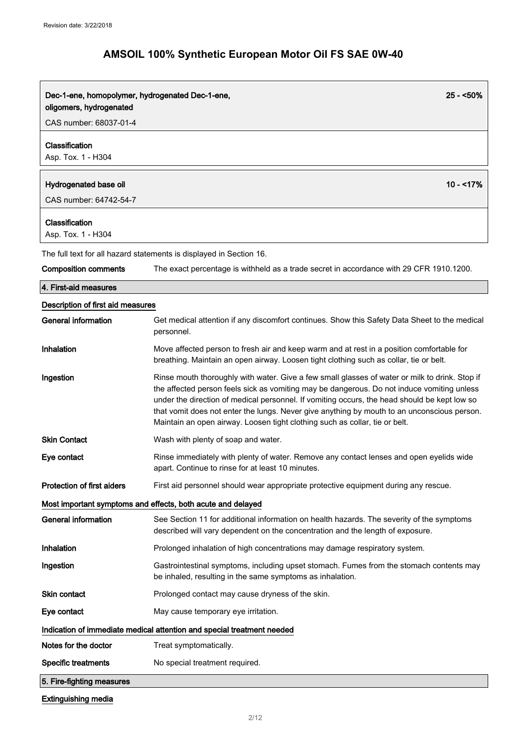| $25 - 50\%$<br>Dec-1-ene, homopolymer, hydrogenated Dec-1-ene,<br>oligomers, hydrogenated |                                                                                                                                                                                                                                                                                                                                                                                                                                                                            |  |
|-------------------------------------------------------------------------------------------|----------------------------------------------------------------------------------------------------------------------------------------------------------------------------------------------------------------------------------------------------------------------------------------------------------------------------------------------------------------------------------------------------------------------------------------------------------------------------|--|
| CAS number: 68037-01-4                                                                    |                                                                                                                                                                                                                                                                                                                                                                                                                                                                            |  |
| Classification<br>Asp. Tox. 1 - H304                                                      |                                                                                                                                                                                                                                                                                                                                                                                                                                                                            |  |
| Hydrogenated base oil                                                                     | $10 - 17%$                                                                                                                                                                                                                                                                                                                                                                                                                                                                 |  |
| CAS number: 64742-54-7                                                                    |                                                                                                                                                                                                                                                                                                                                                                                                                                                                            |  |
| Classification<br>Asp. Tox. 1 - H304                                                      |                                                                                                                                                                                                                                                                                                                                                                                                                                                                            |  |
|                                                                                           | The full text for all hazard statements is displayed in Section 16.                                                                                                                                                                                                                                                                                                                                                                                                        |  |
| <b>Composition comments</b>                                                               | The exact percentage is withheld as a trade secret in accordance with 29 CFR 1910.1200.                                                                                                                                                                                                                                                                                                                                                                                    |  |
| 4. First-aid measures                                                                     |                                                                                                                                                                                                                                                                                                                                                                                                                                                                            |  |
| Description of first aid measures                                                         |                                                                                                                                                                                                                                                                                                                                                                                                                                                                            |  |
| General information                                                                       | Get medical attention if any discomfort continues. Show this Safety Data Sheet to the medical<br>personnel.                                                                                                                                                                                                                                                                                                                                                                |  |
| Inhalation                                                                                | Move affected person to fresh air and keep warm and at rest in a position comfortable for<br>breathing. Maintain an open airway. Loosen tight clothing such as collar, tie or belt.                                                                                                                                                                                                                                                                                        |  |
| Ingestion                                                                                 | Rinse mouth thoroughly with water. Give a few small glasses of water or milk to drink. Stop if<br>the affected person feels sick as vomiting may be dangerous. Do not induce vomiting unless<br>under the direction of medical personnel. If vomiting occurs, the head should be kept low so<br>that vomit does not enter the lungs. Never give anything by mouth to an unconscious person.<br>Maintain an open airway. Loosen tight clothing such as collar, tie or belt. |  |
| <b>Skin Contact</b>                                                                       | Wash with plenty of soap and water.                                                                                                                                                                                                                                                                                                                                                                                                                                        |  |
| Eye contact                                                                               | Rinse immediately with plenty of water. Remove any contact lenses and open eyelids wide<br>apart. Continue to rinse for at least 10 minutes.                                                                                                                                                                                                                                                                                                                               |  |
| Protection of first aiders                                                                | First aid personnel should wear appropriate protective equipment during any rescue.                                                                                                                                                                                                                                                                                                                                                                                        |  |
|                                                                                           | Most important symptoms and effects, both acute and delayed                                                                                                                                                                                                                                                                                                                                                                                                                |  |
| <b>General information</b>                                                                | See Section 11 for additional information on health hazards. The severity of the symptoms<br>described will vary dependent on the concentration and the length of exposure.                                                                                                                                                                                                                                                                                                |  |
| Inhalation                                                                                | Prolonged inhalation of high concentrations may damage respiratory system.                                                                                                                                                                                                                                                                                                                                                                                                 |  |
| Ingestion                                                                                 | Gastrointestinal symptoms, including upset stomach. Fumes from the stomach contents may<br>be inhaled, resulting in the same symptoms as inhalation.                                                                                                                                                                                                                                                                                                                       |  |
| Skin contact                                                                              | Prolonged contact may cause dryness of the skin.                                                                                                                                                                                                                                                                                                                                                                                                                           |  |
| Eye contact                                                                               | May cause temporary eye irritation.                                                                                                                                                                                                                                                                                                                                                                                                                                        |  |
|                                                                                           | Indication of immediate medical attention and special treatment needed                                                                                                                                                                                                                                                                                                                                                                                                     |  |
| Notes for the doctor                                                                      | Treat symptomatically.                                                                                                                                                                                                                                                                                                                                                                                                                                                     |  |
| <b>Specific treatments</b>                                                                | No special treatment required.                                                                                                                                                                                                                                                                                                                                                                                                                                             |  |
| 5. Fire-fighting measures                                                                 |                                                                                                                                                                                                                                                                                                                                                                                                                                                                            |  |

Extinguishing media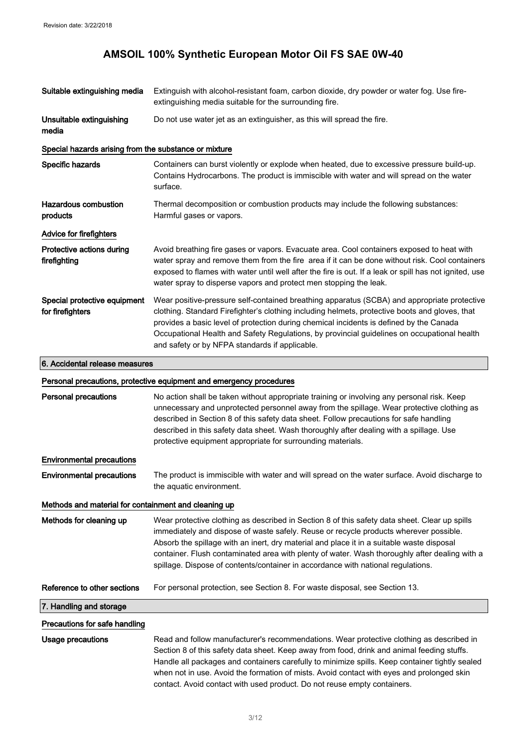| Suitable extinguishing media                          | Extinguish with alcohol-resistant foam, carbon dioxide, dry powder or water fog. Use fire-<br>extinguishing media suitable for the surrounding fire.                                                                                                                                                                                                                                                                                                                     |  |
|-------------------------------------------------------|--------------------------------------------------------------------------------------------------------------------------------------------------------------------------------------------------------------------------------------------------------------------------------------------------------------------------------------------------------------------------------------------------------------------------------------------------------------------------|--|
| Unsuitable extinguishing<br>media                     | Do not use water jet as an extinguisher, as this will spread the fire.                                                                                                                                                                                                                                                                                                                                                                                                   |  |
| Special hazards arising from the substance or mixture |                                                                                                                                                                                                                                                                                                                                                                                                                                                                          |  |
| Specific hazards                                      | Containers can burst violently or explode when heated, due to excessive pressure build-up.<br>Contains Hydrocarbons. The product is immiscible with water and will spread on the water<br>surface.                                                                                                                                                                                                                                                                       |  |
| <b>Hazardous combustion</b><br>products               | Thermal decomposition or combustion products may include the following substances:<br>Harmful gases or vapors.                                                                                                                                                                                                                                                                                                                                                           |  |
| <b>Advice for firefighters</b>                        |                                                                                                                                                                                                                                                                                                                                                                                                                                                                          |  |
| Protective actions during<br>firefighting             | Avoid breathing fire gases or vapors. Evacuate area. Cool containers exposed to heat with<br>water spray and remove them from the fire area if it can be done without risk. Cool containers<br>exposed to flames with water until well after the fire is out. If a leak or spill has not ignited, use<br>water spray to disperse vapors and protect men stopping the leak.                                                                                               |  |
| Special protective equipment<br>for firefighters      | Wear positive-pressure self-contained breathing apparatus (SCBA) and appropriate protective<br>clothing. Standard Firefighter's clothing including helmets, protective boots and gloves, that<br>provides a basic level of protection during chemical incidents is defined by the Canada<br>Occupational Health and Safety Regulations, by provincial guidelines on occupational health<br>and safety or by NFPA standards if applicable.                                |  |
| 6. Accidental release measures                        |                                                                                                                                                                                                                                                                                                                                                                                                                                                                          |  |
|                                                       | Personal precautions, protective equipment and emergency procedures                                                                                                                                                                                                                                                                                                                                                                                                      |  |
| <b>Personal precautions</b>                           | No action shall be taken without appropriate training or involving any personal risk. Keep<br>unnecessary and unprotected personnel away from the spillage. Wear protective clothing as<br>described in Section 8 of this safety data sheet. Follow precautions for safe handling<br>described in this safety data sheet. Wash thoroughly after dealing with a spillage. Use<br>protective equipment appropriate for surrounding materials.                              |  |
| <b>Environmental precautions</b>                      |                                                                                                                                                                                                                                                                                                                                                                                                                                                                          |  |
| <b>Environmental precautions</b>                      | The product is immiscible with water and will spread on the water surface. Avoid discharge to<br>the aquatic environment.                                                                                                                                                                                                                                                                                                                                                |  |
| Methods and material for containment and cleaning up  |                                                                                                                                                                                                                                                                                                                                                                                                                                                                          |  |
| Methods for cleaning up                               | Wear protective clothing as described in Section 8 of this safety data sheet. Clear up spills<br>immediately and dispose of waste safely. Reuse or recycle products wherever possible.<br>Absorb the spillage with an inert, dry material and place it in a suitable waste disposal<br>container. Flush contaminated area with plenty of water. Wash thoroughly after dealing with a<br>spillage. Dispose of contents/container in accordance with national regulations. |  |
| Reference to other sections                           | For personal protection, see Section 8. For waste disposal, see Section 13.                                                                                                                                                                                                                                                                                                                                                                                              |  |
| 7. Handling and storage                               |                                                                                                                                                                                                                                                                                                                                                                                                                                                                          |  |
| Precautions for safe handling                         |                                                                                                                                                                                                                                                                                                                                                                                                                                                                          |  |
| <b>Usage precautions</b>                              | Read and follow manufacturer's recommendations. Wear protective clothing as described in<br>Section 8 of this safety data sheet. Keep away from food, drink and animal feeding stuffs.                                                                                                                                                                                                                                                                                   |  |

is safety data sheet. Keep away from food, drink and animal feeding stu Handle all packages and containers carefully to minimize spills. Keep container tightly sealed when not in use. Avoid the formation of mists. Avoid contact with eyes and prolonged skin contact. Avoid contact with used product. Do not reuse empty containers.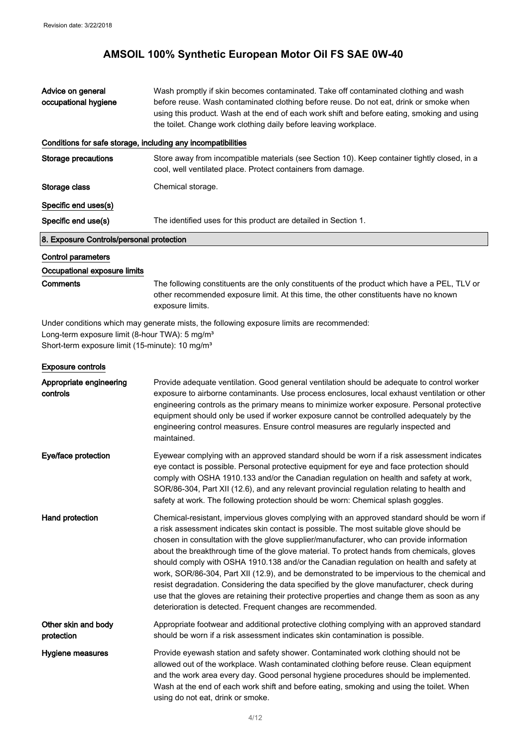# **AMSOIL 100% Synthetic European Motor Oil FS SAE 0W-40**

| Advice on general<br>occupational hygiene                                                                                 | Wash promptly if skin becomes contaminated. Take off contaminated clothing and wash<br>before reuse. Wash contaminated clothing before reuse. Do not eat, drink or smoke when<br>using this product. Wash at the end of each work shift and before eating, smoking and using<br>the toilet. Change work clothing daily before leaving workplace.                                                                                                                                                                                                                                                                                                                                                                                                                                                                                         |
|---------------------------------------------------------------------------------------------------------------------------|------------------------------------------------------------------------------------------------------------------------------------------------------------------------------------------------------------------------------------------------------------------------------------------------------------------------------------------------------------------------------------------------------------------------------------------------------------------------------------------------------------------------------------------------------------------------------------------------------------------------------------------------------------------------------------------------------------------------------------------------------------------------------------------------------------------------------------------|
| Conditions for safe storage, including any incompatibilities                                                              |                                                                                                                                                                                                                                                                                                                                                                                                                                                                                                                                                                                                                                                                                                                                                                                                                                          |
| <b>Storage precautions</b>                                                                                                | Store away from incompatible materials (see Section 10). Keep container tightly closed, in a<br>cool, well ventilated place. Protect containers from damage.                                                                                                                                                                                                                                                                                                                                                                                                                                                                                                                                                                                                                                                                             |
| Storage class                                                                                                             | Chemical storage.                                                                                                                                                                                                                                                                                                                                                                                                                                                                                                                                                                                                                                                                                                                                                                                                                        |
| Specific end uses(s)                                                                                                      |                                                                                                                                                                                                                                                                                                                                                                                                                                                                                                                                                                                                                                                                                                                                                                                                                                          |
| Specific end use(s)                                                                                                       | The identified uses for this product are detailed in Section 1.                                                                                                                                                                                                                                                                                                                                                                                                                                                                                                                                                                                                                                                                                                                                                                          |
| 8. Exposure Controls/personal protection                                                                                  |                                                                                                                                                                                                                                                                                                                                                                                                                                                                                                                                                                                                                                                                                                                                                                                                                                          |
| <b>Control parameters</b>                                                                                                 |                                                                                                                                                                                                                                                                                                                                                                                                                                                                                                                                                                                                                                                                                                                                                                                                                                          |
| Occupational exposure limits                                                                                              |                                                                                                                                                                                                                                                                                                                                                                                                                                                                                                                                                                                                                                                                                                                                                                                                                                          |
| <b>Comments</b>                                                                                                           | The following constituents are the only constituents of the product which have a PEL, TLV or<br>other recommended exposure limit. At this time, the other constituents have no known<br>exposure limits.                                                                                                                                                                                                                                                                                                                                                                                                                                                                                                                                                                                                                                 |
| Long-term exposure limit (8-hour TWA): 5 mg/m <sup>3</sup><br>Short-term exposure limit (15-minute): 10 mg/m <sup>3</sup> | Under conditions which may generate mists, the following exposure limits are recommended:                                                                                                                                                                                                                                                                                                                                                                                                                                                                                                                                                                                                                                                                                                                                                |
| <b>Exposure controls</b>                                                                                                  |                                                                                                                                                                                                                                                                                                                                                                                                                                                                                                                                                                                                                                                                                                                                                                                                                                          |
| Appropriate engineering<br>controls                                                                                       | Provide adequate ventilation. Good general ventilation should be adequate to control worker<br>exposure to airborne contaminants. Use process enclosures, local exhaust ventilation or other<br>engineering controls as the primary means to minimize worker exposure. Personal protective<br>equipment should only be used if worker exposure cannot be controlled adequately by the<br>engineering control measures. Ensure control measures are regularly inspected and<br>maintained.                                                                                                                                                                                                                                                                                                                                                |
| Eye/face protection                                                                                                       | Eyewear complying with an approved standard should be worn if a risk assessment indicates<br>eye contact is possible. Personal protective equipment for eye and face protection should<br>comply with OSHA 1910.133 and/or the Canadian regulation on health and safety at work,<br>SOR/86-304, Part XII (12.6), and any relevant provincial regulation relating to health and<br>safety at work. The following protection should be worn: Chemical splash goggles.                                                                                                                                                                                                                                                                                                                                                                      |
| Hand protection                                                                                                           | Chemical-resistant, impervious gloves complying with an approved standard should be worn if<br>a risk assessment indicates skin contact is possible. The most suitable glove should be<br>chosen in consultation with the glove supplier/manufacturer, who can provide information<br>about the breakthrough time of the glove material. To protect hands from chemicals, gloves<br>should comply with OSHA 1910.138 and/or the Canadian regulation on health and safety at<br>work, SOR/86-304, Part XII (12.9), and be demonstrated to be impervious to the chemical and<br>resist degradation. Considering the data specified by the glove manufacturer, check during<br>use that the gloves are retaining their protective properties and change them as soon as any<br>deterioration is detected. Frequent changes are recommended. |
| Other skin and body<br>protection                                                                                         | Appropriate footwear and additional protective clothing complying with an approved standard<br>should be worn if a risk assessment indicates skin contamination is possible.                                                                                                                                                                                                                                                                                                                                                                                                                                                                                                                                                                                                                                                             |
| Hygiene measures                                                                                                          | Provide eyewash station and safety shower. Contaminated work clothing should not be<br>allowed out of the workplace. Wash contaminated clothing before reuse. Clean equipment<br>and the work area every day. Good personal hygiene procedures should be implemented.<br>Wash at the end of each work shift and before eating, smoking and using the toilet. When<br>using do not eat, drink or smoke.                                                                                                                                                                                                                                                                                                                                                                                                                                   |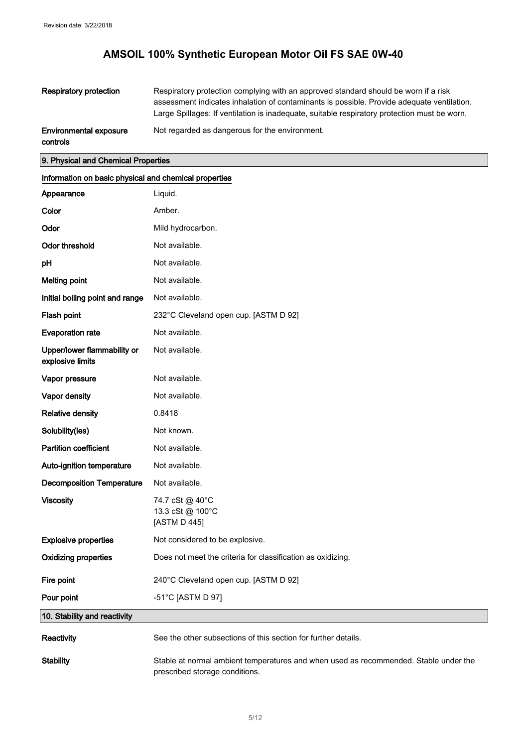| <b>Respiratory protection</b>             | Respiratory protection complying with an approved standard should be worn if a risk<br>assessment indicates inhalation of contaminants is possible. Provide adequate ventilation.<br>Large Spillages: If ventilation is inadequate, suitable respiratory protection must be worn. |
|-------------------------------------------|-----------------------------------------------------------------------------------------------------------------------------------------------------------------------------------------------------------------------------------------------------------------------------------|
| <b>Environmental exposure</b><br>controls | Not regarded as dangerous for the environment.                                                                                                                                                                                                                                    |

# 9. Physical and Chemical Properties

| Information on basic physical and chemical properties |                                                                                                                        |  |
|-------------------------------------------------------|------------------------------------------------------------------------------------------------------------------------|--|
| Appearance                                            | Liquid.                                                                                                                |  |
| Color                                                 | Amber.                                                                                                                 |  |
| Odor                                                  | Mild hydrocarbon.                                                                                                      |  |
| <b>Odor threshold</b>                                 | Not available.                                                                                                         |  |
| pH                                                    | Not available.                                                                                                         |  |
| <b>Melting point</b>                                  | Not available.                                                                                                         |  |
| Initial boiling point and range                       | Not available.                                                                                                         |  |
| Flash point                                           | 232°C Cleveland open cup. [ASTM D 92]                                                                                  |  |
| <b>Evaporation rate</b>                               | Not available.                                                                                                         |  |
| Upper/lower flammability or<br>explosive limits       | Not available.                                                                                                         |  |
| Vapor pressure                                        | Not available.                                                                                                         |  |
| Vapor density                                         | Not available.                                                                                                         |  |
| <b>Relative density</b>                               | 0.8418                                                                                                                 |  |
| Solubility(ies)                                       | Not known.                                                                                                             |  |
| <b>Partition coefficient</b>                          | Not available.                                                                                                         |  |
| Auto-ignition temperature                             | Not available.                                                                                                         |  |
| <b>Decomposition Temperature</b>                      | Not available.                                                                                                         |  |
| <b>Viscosity</b>                                      | 74.7 cSt @ 40°C<br>13.3 cSt @ 100°C<br>[ASTM D 445]                                                                    |  |
| <b>Explosive properties</b>                           | Not considered to be explosive.                                                                                        |  |
| <b>Oxidizing properties</b>                           | Does not meet the criteria for classification as oxidizing.                                                            |  |
| Fire point                                            | 240°C Cleveland open cup. [ASTM D 92]                                                                                  |  |
| Pour point                                            | -51°C [ASTM D 97]                                                                                                      |  |
| 10. Stability and reactivity                          |                                                                                                                        |  |
| Reactivity                                            | See the other subsections of this section for further details.                                                         |  |
| <b>Stability</b>                                      | Stable at normal ambient temperatures and when used as recommended. Stable under the<br>prescribed storage conditions. |  |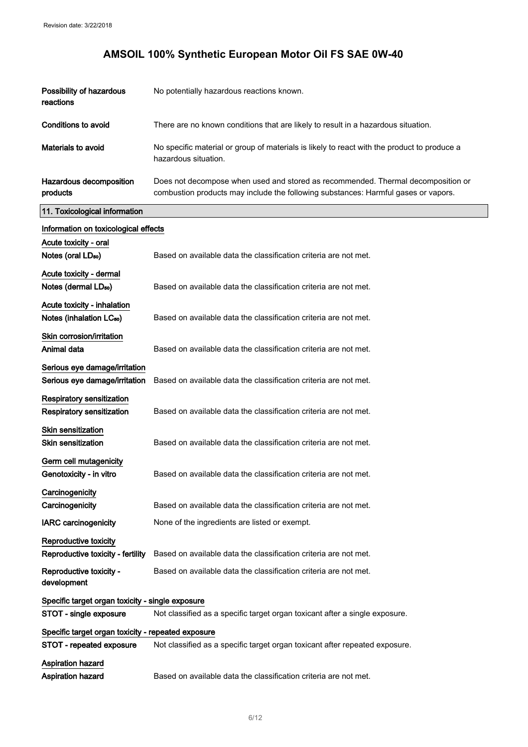$\bar{z}$ 

# **AMSOIL 100% Synthetic European Motor Oil FS SAE 0W-40**

| Possibility of hazardous<br>reactions                               | No potentially hazardous reactions known.                                                                                                                              |
|---------------------------------------------------------------------|------------------------------------------------------------------------------------------------------------------------------------------------------------------------|
| Conditions to avoid                                                 | There are no known conditions that are likely to result in a hazardous situation.                                                                                      |
| Materials to avoid                                                  | No specific material or group of materials is likely to react with the product to produce a<br>hazardous situation.                                                    |
| Hazardous decomposition<br>products                                 | Does not decompose when used and stored as recommended. Thermal decomposition or<br>combustion products may include the following substances: Harmful gases or vapors. |
| 11. Toxicological information                                       |                                                                                                                                                                        |
| Information on toxicological effects                                |                                                                                                                                                                        |
| Acute toxicity - oral<br>Notes (oral LD <sub>50</sub> )             | Based on available data the classification criteria are not met.                                                                                                       |
| Acute toxicity - dermal<br>Notes (dermal LD <sub>50</sub> )         | Based on available data the classification criteria are not met.                                                                                                       |
| Acute toxicity - inhalation<br>Notes (inhalation LC <sub>50</sub> ) | Based on available data the classification criteria are not met.                                                                                                       |
| Skin corrosion/irritation<br>Animal data                            | Based on available data the classification criteria are not met.                                                                                                       |
| Serious eye damage/irritation<br>Serious eye damage/irritation      | Based on available data the classification criteria are not met.                                                                                                       |
| Respiratory sensitization<br>Respiratory sensitization              | Based on available data the classification criteria are not met.                                                                                                       |
| <b>Skin sensitization</b><br><b>Skin sensitization</b>              | Based on available data the classification criteria are not met.                                                                                                       |
| Germ cell mutagenicity<br>Genotoxicity - in vitro                   | Based on available data the classification criteria are not met.                                                                                                       |
| Carcinogenicity<br>Carcinogenicity                                  | Based on available data the classification criteria are not met.                                                                                                       |
| <b>IARC carcinogenicity</b>                                         | None of the ingredients are listed or exempt.                                                                                                                          |
| Reproductive toxicity<br>Reproductive toxicity - fertility          | Based on available data the classification criteria are not met.                                                                                                       |
| Reproductive toxicity -<br>development                              | Based on available data the classification criteria are not met.                                                                                                       |
| Specific target organ toxicity - single exposure                    |                                                                                                                                                                        |
| STOT - single exposure                                              | Not classified as a specific target organ toxicant after a single exposure.                                                                                            |
| Specific target organ toxicity - repeated exposure                  |                                                                                                                                                                        |
| STOT - repeated exposure                                            | Not classified as a specific target organ toxicant after repeated exposure.                                                                                            |
| <b>Aspiration hazard</b>                                            | Based on available data the classification criteria are not met.                                                                                                       |
| <b>Aspiration hazard</b>                                            |                                                                                                                                                                        |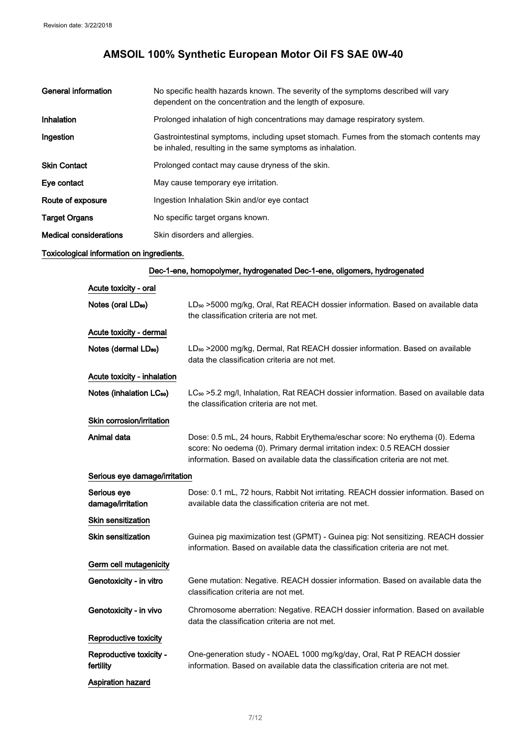| General information           | No specific health hazards known. The severity of the symptoms described will vary<br>dependent on the concentration and the length of exposure.     |
|-------------------------------|------------------------------------------------------------------------------------------------------------------------------------------------------|
| Inhalation                    | Prolonged inhalation of high concentrations may damage respiratory system.                                                                           |
| Ingestion                     | Gastrointestinal symptoms, including upset stomach. Fumes from the stomach contents may<br>be inhaled, resulting in the same symptoms as inhalation. |
| <b>Skin Contact</b>           | Prolonged contact may cause dryness of the skin.                                                                                                     |
| Eye contact                   | May cause temporary eye irritation.                                                                                                                  |
| Route of exposure             | Ingestion Inhalation Skin and/or eye contact                                                                                                         |
| <b>Target Organs</b>          | No specific target organs known.                                                                                                                     |
| <b>Medical considerations</b> | Skin disorders and allergies.                                                                                                                        |

### Toxicological information on ingredients.

| Dec-1-ene, homopolymer, hydrogenated Dec-1-ene, oligomers, hydrogenated |                                                                                                                                                                                                                                           |  |
|-------------------------------------------------------------------------|-------------------------------------------------------------------------------------------------------------------------------------------------------------------------------------------------------------------------------------------|--|
| Acute toxicity - oral                                                   |                                                                                                                                                                                                                                           |  |
| Notes (oral LD <sub>50</sub> )                                          | LD <sub>so</sub> >5000 mg/kg, Oral, Rat REACH dossier information. Based on available data<br>the classification criteria are not met.                                                                                                    |  |
| Acute toxicity - dermal                                                 |                                                                                                                                                                                                                                           |  |
| Notes (dermal LD <sub>50</sub> )                                        | LD <sub>50</sub> > 2000 mg/kg, Dermal, Rat REACH dossier information. Based on available<br>data the classification criteria are not met.                                                                                                 |  |
| Acute toxicity - inhalation                                             |                                                                                                                                                                                                                                           |  |
| Notes (inhalation LC <sub>50</sub> )                                    | LC <sub>50</sub> > 5.2 mg/l, Inhalation, Rat REACH dossier information. Based on available data<br>the classification criteria are not met.                                                                                               |  |
| Skin corrosion/irritation                                               |                                                                                                                                                                                                                                           |  |
| Animal data                                                             | Dose: 0.5 mL, 24 hours, Rabbit Erythema/eschar score: No erythema (0). Edema<br>score: No oedema (0). Primary dermal irritation index: 0.5 REACH dossier<br>information. Based on available data the classification criteria are not met. |  |
| Serious eye damage/irritation                                           |                                                                                                                                                                                                                                           |  |
| Serious eye<br>damage/irritation                                        | Dose: 0.1 mL, 72 hours, Rabbit Not irritating. REACH dossier information. Based on<br>available data the classification criteria are not met.                                                                                             |  |
| <b>Skin sensitization</b>                                               |                                                                                                                                                                                                                                           |  |
| <b>Skin sensitization</b>                                               | Guinea pig maximization test (GPMT) - Guinea pig: Not sensitizing. REACH dossier<br>information. Based on available data the classification criteria are not met.                                                                         |  |
| Germ cell mutagenicity                                                  |                                                                                                                                                                                                                                           |  |
| Genotoxicity - in vitro                                                 | Gene mutation: Negative. REACH dossier information. Based on available data the<br>classification criteria are not met.                                                                                                                   |  |
| Genotoxicity - in vivo                                                  | Chromosome aberration: Negative. REACH dossier information. Based on available<br>data the classification criteria are not met.                                                                                                           |  |
| Reproductive toxicity                                                   |                                                                                                                                                                                                                                           |  |
| Reproductive toxicity -<br>fertility                                    | One-generation study - NOAEL 1000 mg/kg/day, Oral, Rat P REACH dossier<br>information. Based on available data the classification criteria are not met.                                                                                   |  |
| <b>Aspiration hazard</b>                                                |                                                                                                                                                                                                                                           |  |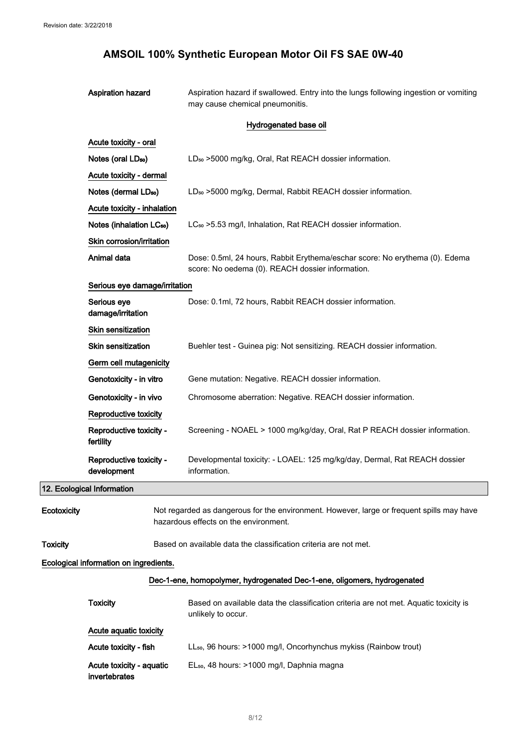Aspiration hazard **Aspiration hazard if swallowed.** Entry into the lungs following ingestion or vomiting may cause chemical pneumonitis.

#### Hydrogenated base oil

|                 | Acute toxicity - oral                                                                                                              |                                                                                                                                 |
|-----------------|------------------------------------------------------------------------------------------------------------------------------------|---------------------------------------------------------------------------------------------------------------------------------|
|                 | Notes (oral LD <sub>50</sub> )                                                                                                     | LD <sub>50</sub> > 5000 mg/kg, Oral, Rat REACH dossier information.                                                             |
|                 | Acute toxicity - dermal                                                                                                            |                                                                                                                                 |
|                 | Notes (dermal LD <sub>50</sub> )                                                                                                   | LD <sub>50</sub> > 5000 mg/kg, Dermal, Rabbit REACH dossier information.                                                        |
|                 | Acute toxicity - inhalation                                                                                                        |                                                                                                                                 |
|                 | Notes (inhalation LC <sub>50</sub> )                                                                                               | LC <sub>50</sub> > 5.53 mg/l, Inhalation, Rat REACH dossier information.                                                        |
|                 | Skin corrosion/irritation                                                                                                          |                                                                                                                                 |
|                 | Animal data                                                                                                                        | Dose: 0.5ml, 24 hours, Rabbit Erythema/eschar score: No erythema (0). Edema<br>score: No oedema (0). REACH dossier information. |
|                 | Serious eye damage/irritation                                                                                                      |                                                                                                                                 |
|                 | Serious eye<br>damage/irritation                                                                                                   | Dose: 0.1ml, 72 hours, Rabbit REACH dossier information.                                                                        |
|                 | <b>Skin sensitization</b>                                                                                                          |                                                                                                                                 |
|                 | <b>Skin sensitization</b>                                                                                                          | Buehler test - Guinea pig: Not sensitizing. REACH dossier information.                                                          |
|                 | Germ cell mutagenicity                                                                                                             |                                                                                                                                 |
|                 | Genotoxicity - in vitro                                                                                                            | Gene mutation: Negative. REACH dossier information.                                                                             |
|                 | Genotoxicity - in vivo                                                                                                             | Chromosome aberration: Negative. REACH dossier information.                                                                     |
|                 | Reproductive toxicity                                                                                                              |                                                                                                                                 |
|                 | Reproductive toxicity -<br>fertility                                                                                               | Screening - NOAEL > 1000 mg/kg/day, Oral, Rat P REACH dossier information.                                                      |
|                 | Reproductive toxicity -<br>development                                                                                             | Developmental toxicity: - LOAEL: 125 mg/kg/day, Dermal, Rat REACH dossier<br>information.                                       |
|                 | 12. Ecological Information                                                                                                         |                                                                                                                                 |
| Ecotoxicity     | Not regarded as dangerous for the environment. However, large or frequent spills may have<br>hazardous effects on the environment. |                                                                                                                                 |
| <b>Toxicity</b> |                                                                                                                                    | Based on available data the classification criteria are not met.                                                                |
|                 | Ecological information on ingredients.                                                                                             |                                                                                                                                 |
|                 |                                                                                                                                    | Dec-1-ene, homopolymer, hydrogenated Dec-1-ene, oligomers, hydrogenated                                                         |
|                 | <b>Toxicity</b>                                                                                                                    | Based on available data the classification criteria are not met. Aquatic toxicity is<br>unlikely to occur.                      |
|                 | Acute aquatic toxicity                                                                                                             |                                                                                                                                 |
|                 | Acute toxicity - fish                                                                                                              | LL <sub>50</sub> , 96 hours: >1000 mg/l, Oncorhynchus mykiss (Rainbow trout)                                                    |
|                 | Acute toxicity - aquatic                                                                                                           | EL <sub>50</sub> , 48 hours: >1000 mg/l, Daphnia magna                                                                          |

invertebrates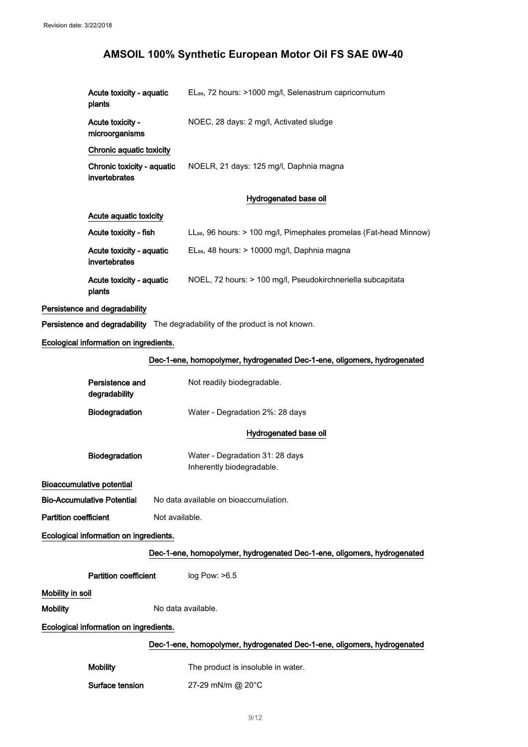| Acute toxicity - aquatic<br>plants          | EL <sub>50</sub> , 72 hours: >1000 mg/l, Selenastrum capricornutum             |
|---------------------------------------------|--------------------------------------------------------------------------------|
| Acute toxicity -<br>microorganisms          | NOEC, 28 days: 2 mg/l, Activated sludge                                        |
| Chronic aquatic toxicity                    |                                                                                |
| Chronic toxicity - aquatic<br>invertebrates | NOELR, 21 days: 125 mg/l, Daphnia magna                                        |
|                                             | Hydrogenated base oil                                                          |
| Acute aquatic toxicity                      |                                                                                |
| Acute toxicity - fish                       | LL <sub>50</sub> , 96 hours: > 100 mg/l, Pimephales promelas (Fat-head Minnow) |
| Acute toxicity - aquatic<br>invertebrates   | EL <sub>50</sub> , 48 hours: > 10000 mg/l, Daphnia magna                       |
| Acute toxicity - aquatic<br>plants          | NOEL, 72 hours: > 100 mg/l, Pseudokirchneriella subcapitata                    |
| Persistence and degradability               |                                                                                |
|                                             | Persistence and degradability The degradability of the product is not known.   |
| Ecological information on ingredients.      |                                                                                |
|                                             | Dec-1-ene, homopolymer, hydrogenated Dec-1-ene, oligomers, hydrogenated        |
| Persistence and<br>degradability            | Not readily biodegradable.                                                     |
| <b>Biodegradation</b>                       | Water - Degradation 2%: 28 days                                                |
|                                             | Hydrogenated base oil                                                          |
| Biodegradation                              | Water - Degradation 31: 28 days<br>Inherently biodegradable.                   |
| Bioaccumulative potential                   |                                                                                |
| <b>Bio-Accumulative Potential</b>           | No data available on bioaccumulation.                                          |
| <b>Partition coefficient</b>                | Not available.                                                                 |
| Ecological information on ingredients.      |                                                                                |
|                                             | Dec-1-ene, homopolymer, hydrogenated Dec-1-ene, oligomers, hydrogenated        |
| <b>Partition coefficient</b>                | $log$ Pow: $>6.5$                                                              |
| Mobility in soil                            |                                                                                |
| <b>Mobility</b>                             | No data available.                                                             |
| Ecological information on ingredients.      |                                                                                |
|                                             | Dec-1-ene, homopolymer, hydrogenated Dec-1-ene, oligomers, hydrogenated        |
| <b>Mobility</b>                             | The product is insoluble in water.                                             |
| Surface tension                             | 27-29 mN/m @ 20°C                                                              |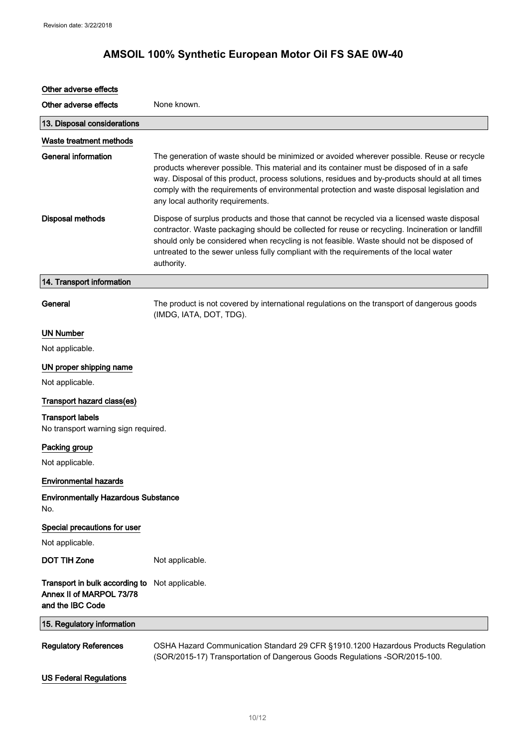# Other adverse effects Other adverse effects None known. 13. Disposal considerations Waste treatment methods General information The generation of waste should be minimized or avoided wherever possible. Reuse or recycle products wherever possible. This material and its container must be disposed of in a safe way. Disposal of this product, process solutions, residues and by-products should at all times comply with the requirements of environmental protection and waste disposal legislation and any local authority requirements. Disposal methods Dispose of surplus products and those that cannot be recycled via a licensed waste disposal contractor. Waste packaging should be collected for reuse or recycling. Incineration or landfill should only be considered when recycling is not feasible. Waste should not be disposed of untreated to the sewer unless fully compliant with the requirements of the local water authority. 14. Transport information General The product is not covered by international regulations on the transport of dangerous goods (IMDG, IATA, DOT, TDG). UN Number Not applicable. UN proper shipping name Not applicable. Transport hazard class(es) Transport labels No transport warning sign required. Packing group Not applicable. Environmental hazards Environmentally Hazardous Substance No. Special precautions for user Not applicable. DOT TIH Zone Not applicable. **Transport in bulk according to** Not applicable. Annex II of MARPOL 73/78 and the IBC Code 15. Regulatory information Regulatory References OSHA Hazard Communication Standard 29 CFR §1910.1200 Hazardous Products Regulation (SOR/2015-17) Transportation of Dangerous Goods Regulations -SOR/2015-100.

#### US Federal Regulations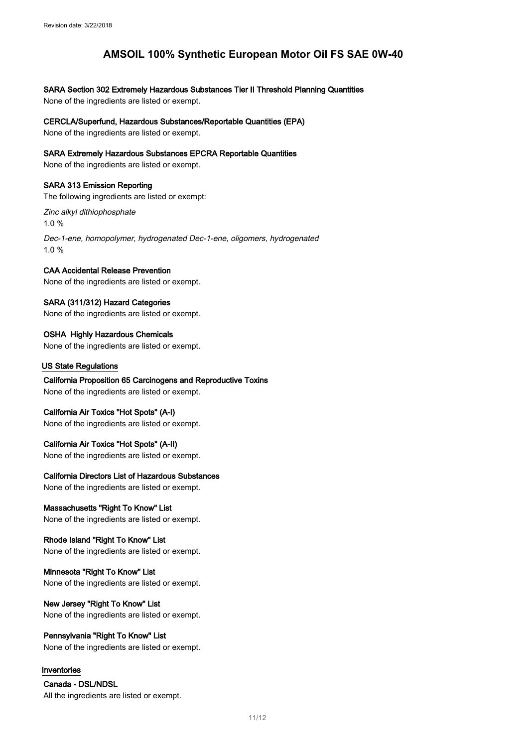### SARA Section 302 Extremely Hazardous Substances Tier II Threshold Planning Quantities

None of the ingredients are listed or exempt.

#### CERCLA/Superfund, Hazardous Substances/Reportable Quantities (EPA)

None of the ingredients are listed or exempt.

#### SARA Extremely Hazardous Substances EPCRA Reportable Quantities

None of the ingredients are listed or exempt.

#### SARA 313 Emission Reporting

The following ingredients are listed or exempt:

Zinc alkyl dithiophosphate 1.0 %

Dec-1-ene, homopolymer, hydrogenated Dec-1-ene, oligomers, hydrogenated 1.0 %

### CAA Accidental Release Prevention

None of the ingredients are listed or exempt.

### SARA (311/312) Hazard Categories

None of the ingredients are listed or exempt.

### OSHA Highly Hazardous Chemicals

None of the ingredients are listed or exempt.

#### US State Regulations

### California Proposition 65 Carcinogens and Reproductive Toxins None of the ingredients are listed or exempt.

#### California Air Toxics "Hot Spots" (A-I)

None of the ingredients are listed or exempt.

#### California Air Toxics "Hot Spots" (A-II)

None of the ingredients are listed or exempt.

#### California Directors List of Hazardous Substances

None of the ingredients are listed or exempt.

#### Massachusetts "Right To Know" List

None of the ingredients are listed or exempt.

### Rhode Island "Right To Know" List

None of the ingredients are listed or exempt.

#### Minnesota "Right To Know" List None of the ingredients are listed or exempt.

## New Jersey "Right To Know" List

None of the ingredients are listed or exempt.

#### Pennsylvania "Right To Know" List None of the ingredients are listed or exempt.

#### Inventories

Canada - DSL/NDSL All the ingredients are listed or exempt.